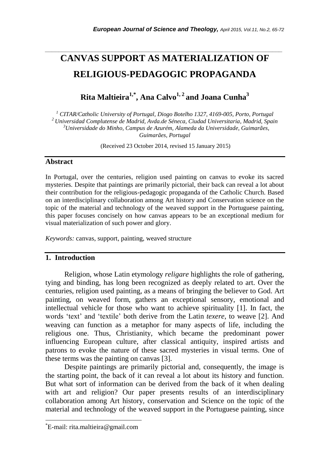# **CANVAS SUPPORT AS MATERIALIZATION OF RELIGIOUS-PEDAGOGIC PROPAGANDA**

*\_\_\_\_\_\_\_\_\_\_\_\_\_\_\_\_\_\_\_\_\_\_\_\_\_\_\_\_\_\_\_\_\_\_\_\_\_\_\_\_\_\_\_\_\_\_\_\_\_\_\_\_\_\_\_\_\_\_\_\_\_\_\_\_\_\_\_\_\_\_\_*

**Rita Maltieira1,\* , Ana Calvo1, 2 and Joana Cunha<sup>3</sup>**

 *CITAR/Catholic University of Portugal, Diogo Botelho 1327, 4169-005, Porto, Portugal Universidad Complutense de Madrid, Avda.de Séneca, Ciudad Universitaria, Madrid, Spain Universidade do Minho, Campus de Azurém, Alameda da Universidade, Guimarães, Guimarães, Portugal* 

(Received 23 October 2014, revised 15 January 2015)

#### **Abstract**

In Portugal, over the centuries, religion used painting on canvas to evoke its sacred mysteries. Despite that paintings are primarily pictorial, their back can reveal a lot about their contribution for the religious-pedagogic propaganda of the Catholic Church. Based on an interdisciplinary collaboration among Art history and Conservation science on the topic of the material and technology of the weaved support in the Portuguese painting, this paper focuses concisely on how canvas appears to be an exceptional medium for visual materialization of such power and glory.

*Keywords:* canvas, support, painting, weaved structure

#### **1. Introduction**

Religion, whose Latin etymology *religare* highlights the role of gathering, tying and binding, has long been recognized as deeply related to art. Over the centuries, religion used painting, as a means of bringing the believer to God. Art painting, on weaved form, gathers an exceptional sensory, emotional and intellectual vehicle for those who want to achieve spirituality [1]. In fact, the words "text" and "textile" both derive from the Latin *texere*, to weave [2]. And weaving can function as a metaphor for many aspects of life, including the religious one. Thus, Christianity, which became the predominant power influencing European culture, after classical antiquity, inspired artists and patrons to evoke the nature of these sacred mysteries in visual terms. One of these terms was the painting on canvas [3].

Despite paintings are primarily pictorial and, consequently, the image is the starting point, the back of it can reveal a lot about its history and function. But what sort of information can be derived from the back of it when dealing with art and religion? Our paper presents results of an interdisciplinary collaboration among Art history, conservation and Science on the topic of the material and technology of the weaved support in the Portuguese painting, since

l

<sup>\*</sup>E-mail: rita.maltieira@gmail.com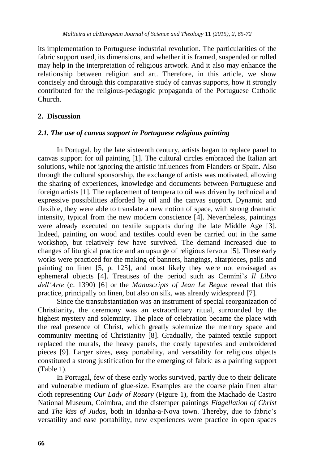its implementation to Portuguese industrial revolution. The particularities of the fabric support used, its dimensions, and whether it is framed, suspended or rolled may help in the interpretation of religious artwork. And it also may enhance the relationship between religion and art. Therefore, in this article, we show concisely and through this comparative study of canvas supports, how it strongly contributed for the religious-pedagogic propaganda of the Portuguese Catholic Church.

## **2. Discussion**

## *2.1. The use of canvas support in Portuguese religious painting*

In Portugal, by the late sixteenth century, artists began to replace panel to canvas support for oil painting [1]. The cultural circles embraced the Italian art solutions, while not ignoring the artistic influences from Flanders or Spain. Also through the cultural sponsorship, the exchange of artists was motivated, allowing the sharing of experiences, knowledge and documents between Portuguese and foreign artists [1]. The replacement of tempera to oil was driven by technical and expressive possibilities afforded by oil and the canvas support. Dynamic and flexible, they were able to translate a new notion of space, with strong dramatic intensity, typical from the new modern conscience [4]. Nevertheless, paintings were already executed on textile supports during the late Middle Age [3]. Indeed, painting on wood and textiles could even be carried out in the same workshop, but relatively few have survived. The demand increased due to changes of liturgical practice and an upsurge of religious fervour [5]. These early works were practiced for the making of banners, hangings, altarpieces, palls and painting on linen [5, p. 125], and most likely they were not envisaged as ephemeral objects [4]. Treatises of the period such as Cennini's *Il Libro dell'Arte* (c. 1390) [6] or the *Manuscripts of Jean Le Begue* reveal that this practice, principally on linen, but also on silk, was already widespread [7].

Since the transubstantiation was an instrument of special reorganization of Christianity, the ceremony was an extraordinary ritual, surrounded by the highest mystery and solemnity. The place of celebration became the place with the real presence of Christ, which greatly solemnize the memory space and community meeting of Christianity [8]. Gradually, the painted textile support replaced the murals, the heavy panels, the costly tapestries and embroidered pieces [9]. Larger sizes, easy portability, and versatility for religious objects constituted a strong justification for the emerging of fabric as a painting support (Table 1).

In Portugal, few of these early works survived, partly due to their delicate and vulnerable medium of glue-size. Examples are the coarse plain linen altar cloth representing *Our Lady of Rosary* (Figure 1), from the Machado de Castro National Museum, Coimbra, and the distemper paintings *Flagellation of Christ* and *The kiss of Judas*, both in Idanha-a-Nova town. Thereby, due to fabric"s versatility and ease portability, new experiences were practice in open spaces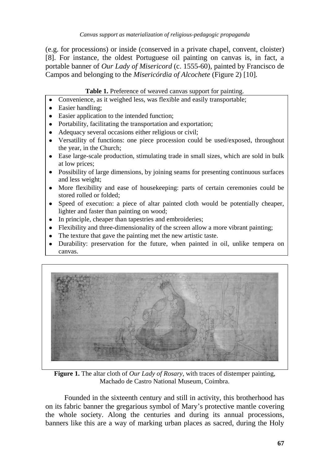(e.g. for processions) or inside (conserved in a private chapel, convent, cloister) [8]. For instance, the oldest Portuguese oil painting on canvas is, in fact, a portable banner of *Our Lady of Misericord* (c. 1555-60), painted by Francisco de Campos and belonging to the *Misericórdia of Alcochete* (Figure 2) [10]*.*

#### **Table 1.** Preference of weaved canvas support for painting.

- Convenience, as it weighed less, was flexible and easily transportable;  $\bullet$
- Easier handling:
- Easier application to the intended function;
- Portability, facilitating the transportation and exportation;
- Adequacy several occasions either religious or civil;
- Versatility of functions: one piece procession could be used/exposed, throughout the year, in the Church;
- Ease large-scale production, stimulating trade in small sizes, which are sold in bulk at low prices;
- Possibility of large dimensions, by joining seams for presenting continuous surfaces and less weight;
- More flexibility and ease of housekeeping: parts of certain ceremonies could be stored rolled or folded;
- Speed of execution: a piece of altar painted cloth would be potentially cheaper, lighter and faster than painting on wood;
- In principle, cheaper than tapestries and embroideries;
- Flexibility and three-dimensionality of the screen allow a more vibrant painting;
- The texture that gave the painting met the new artistic taste.
- Durability: preservation for the future, when painted in oil, unlike tempera on canvas.



**Figure 1.** The altar cloth of *Our Lady of Rosary*, with traces of distemper painting, Machado de Castro National Museum, Coimbra.

Founded in the sixteenth century and still in activity, this brotherhood has on its fabric banner the gregarious symbol of Mary"s protective mantle covering the whole society. Along the centuries and during its annual processions, banners like this are a way of marking urban places as sacred, during the Holy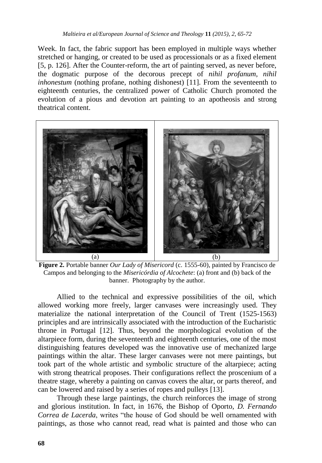Week. In fact, the fabric support has been employed in multiple ways whether stretched or hanging, or created to be used as processionals or as a fixed element [5, p. 126]. After the Counter-reform, the art of painting served, as never before, the dogmatic purpose of the decorous precept of *nihil profanum, nihil inhonestum* (nothing profane, nothing dishonest) [11]. From the seventeenth to eighteenth centuries, the centralized power of Catholic Church promoted the evolution of a pious and devotion art painting to an apotheosis and strong theatrical content.



**Figure 2.** Portable banner *Our Lady of Misericord* (c. 1555-60), painted by Francisco de Campos and belonging to the *Misericórdia of Alcochete*: (a) front and (b) back of the banner. Photography by the author.

Allied to the technical and expressive possibilities of the oil, which allowed working more freely, larger canvases were increasingly used. They materialize the national interpretation of the Council of Trent (1525-1563) principles and are intrinsically associated with the introduction of the Eucharistic throne in Portugal [12]. Thus, beyond the morphological evolution of the altarpiece form, during the seventeenth and eighteenth centuries, one of the most distinguishing features developed was the innovative use of mechanized large paintings within the altar. These larger canvases were not mere paintings, but took part of the whole artistic and symbolic structure of the altarpiece; acting with strong theatrical proposes. Their configurations reflect the proscenium of a theatre stage, whereby a painting on canvas covers the altar, or parts thereof, and can be lowered and raised by a series of ropes and pulleys [13].

Through these large paintings, the church reinforces the image of strong and glorious institution. In fact, in 1676, the Bishop of Oporto, *D. Fernando Correa de Lacerda*, writes "the house of God should be well ornamented with paintings, as those who cannot read, read what is painted and those who can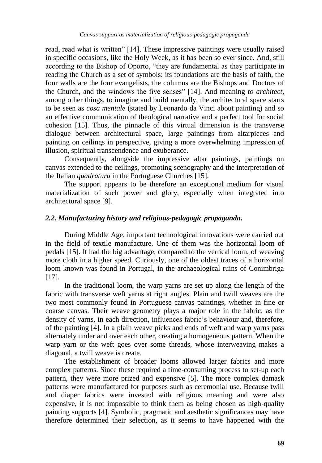read, read what is written" [14]. These impressive paintings were usually raised in specific occasions, like the Holy Week, as it has been so ever since. And, still according to the Bishop of Oporto, "they are fundamental as they participate in reading the Church as a set of symbols: its foundations are the basis of faith, the four walls are the four evangelists, the columns are the Bishops and Doctors of the Church, and the windows the five senses" [14]. And meaning *to architect*, among other things, to imagine and build mentally, the architectural space starts to be seen as *cosa mentale* (stated by Leonardo da Vinci about painting) and so an effective communication of theological narrative and a perfect tool for social cohesion [15]. Thus, the pinnacle of this virtual dimension is the transverse dialogue between architectural space, large paintings from altarpieces and painting on ceilings in perspective, giving a more overwhelming impression of illusion, spiritual transcendence and exuberance.

Consequently, alongside the impressive altar paintings, paintings on canvas extended to the ceilings, promoting scenography and the interpretation of the Italian *quadratura* in the Portuguese Churches [15].

The support appears to be therefore an exceptional medium for visual materialization of such power and glory, especially when integrated into architectural space [9].

## *2.2. Manufacturing history and religious-pedagogic propaganda***.**

During Middle Age, important technological innovations were carried out in the field of textile manufacture. One of them was the horizontal loom of pedals [15]. It had the big advantage, compared to the vertical loom, of weaving more cloth in a higher speed. Curiously, one of the oldest traces of a horizontal loom known was found in Portugal, in the archaeological ruins of Conimbriga [17].

In the traditional loom, the warp yarns are set up along the length of the fabric with transverse weft yarns at right angles. Plain and twill weaves are the two most commonly found in Portuguese canvas paintings, whether in fine or coarse canvas. Their weave geometry plays a major role in the fabric, as the density of yarns, in each direction, influences fabric's behaviour and, therefore, of the painting [4]. In a plain weave picks and ends of weft and warp yarns pass alternately under and over each other, creating a homogeneous pattern. When the warp yarn or the weft goes over some threads, whose interweaving makes a diagonal, a twill weave is create.

The establishment of broader looms allowed larger fabrics and more complex patterns. Since these required a time-consuming process to set-up each pattern, they were more prized and expensive [5]. The more complex damask patterns were manufactured for purposes such as ceremonial use. Because twill and diaper fabrics were invested with religious meaning and were also expensive, it is not impossible to think them as being chosen as high-quality painting supports [4]. Symbolic, pragmatic and aesthetic significances may have therefore determined their selection, as it seems to have happened with the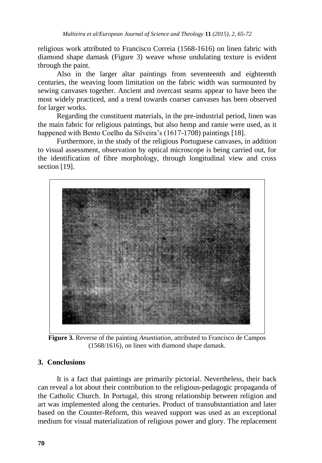religious work attributed to Francisco Correia (1568-1616) on linen fabric with diamond shape damask (Figure 3) weave whose undulating texture is evident through the paint.

Also in the larger altar paintings from seventeenth and eighteenth centuries, the weaving loom limitation on the fabric width was surmounted by sewing canvases together. Ancient and overcast seams appear to have been the most widely practiced, and a trend towards coarser canvases has been observed for larger works.

Regarding the constituent materials, in the pre-industrial period, linen was the main fabric for religious paintings, but also hemp and ramie were used, as it happened with Bento Coelho da Silveira's (1617-1708) paintings [18].

Furthermore, in the study of the religious Portuguese canvases, in addition to visual assessment, observation by optical microscope is being carried out, for the identification of fibre morphology, through longitudinal view and cross section [19].



**Figure 3.** Reverse of the painting *Anuntiation,* attributed to Francisco de Campos (1568/1616)*,* on linen with diamond shape damask.

#### **3. Conclusions**

It is a fact that paintings are primarily pictorial. Nevertheless, their back can reveal a lot about their contribution to the religious-pedagogic propaganda of the Catholic Church. In Portugal, this strong relationship between religion and art was implemented along the centuries. Product of transubstantiation and later based on the Counter-Reform, this weaved support was used as an exceptional medium for visual materialization of religious power and glory. The replacement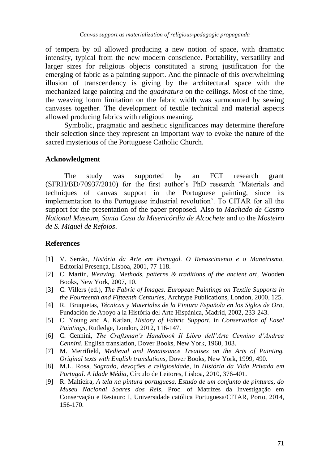of tempera by oil allowed producing a new notion of space, with dramatic intensity, typical from the new modern conscience. Portability, versatility and larger sizes for religious objects constituted a strong justification for the emerging of fabric as a painting support. And the pinnacle of this overwhelming illusion of transcendency is giving by the architectural space with the mechanized large painting and the *quadratura* on the ceilings. Most of the time, the weaving loom limitation on the fabric width was surmounted by sewing canvases together. The development of textile technical and material aspects allowed producing fabrics with religious meaning.

Symbolic, pragmatic and aesthetic significances may determine therefore their selection since they represent an important way to evoke the nature of the sacred mysterious of the Portuguese Catholic Church.

#### **Acknowledgment**

The study was supported by an FCT research grant (SFRH/BD/70937/2010) for the first author"s PhD research "Materials and techniques of canvas support in the Portuguese painting, since its implementation to the Portuguese industrial revolution". To CITAR for all the support for the presentation of the paper proposed. Also to *Machado de Castro National Museum*, *Santa Casa da Misericórdia de Alcochete* and to the *Mosteiro de S. Miguel de Refojos*.

#### **References**

- [1] V. Serrão, *História da Arte em Portugal. O Renascimento e o Maneirismo,*  Editorial Presença, Lisboa, 2001, 77-118.
- [2] C. Martin, *Weaving. Methods, patterns & traditions of the ancient art*, Wooden Books, New York, 2007, 10.
- [3] C. Villers (ed.), *The Fabric of Images. European Paintings on Textile Supports in the Fourteenth and Fifteenth Centuries,* Archtype Publications, London, 2000, 125.
- [4] R. Bruquetas, *Técnicas y Materiales de la Pintura Española en los Siglos de Oro,* Fundación de Apoyo a la História del Arte Hispánica, Madrid, 2002, 233-243.
- [5] C. Young and A. Katlan, *History of Fabric Support*, in *Conservation of Easel Paintings,* Rutledge, London, 2012, 116-147.
- [6] C. Cennini, *The Craftsman's Handbook Il Libro dell'Arte Cennino d'Andrea Cennini,* English translation, Dover Books, New York, 1960, 103.
- [7] M. Merrifield, *Medieval and Renaissance Treatises on the Arts of Painting. Original texts with English translations,* Dover Books, New York, 1999, 490.
- [8] M.L. Rosa, *Sagrado, devoções e religiosidade*, in *História da Vida Privada em Portugal*. *A Idade Média,* Círculo de Leitores, Lisboa, 2010, 376-401.
- [9] R. Maltieira, *A tela na pintura portuguesa. Estudo de um conjunto de pinturas, do Museu Nacional Soares dos Reis,* Proc. of Matrizes da Investigação em Conservação e Restauro I, Universidade católica Portuguesa/CITAR, Porto, 2014, 156-170.